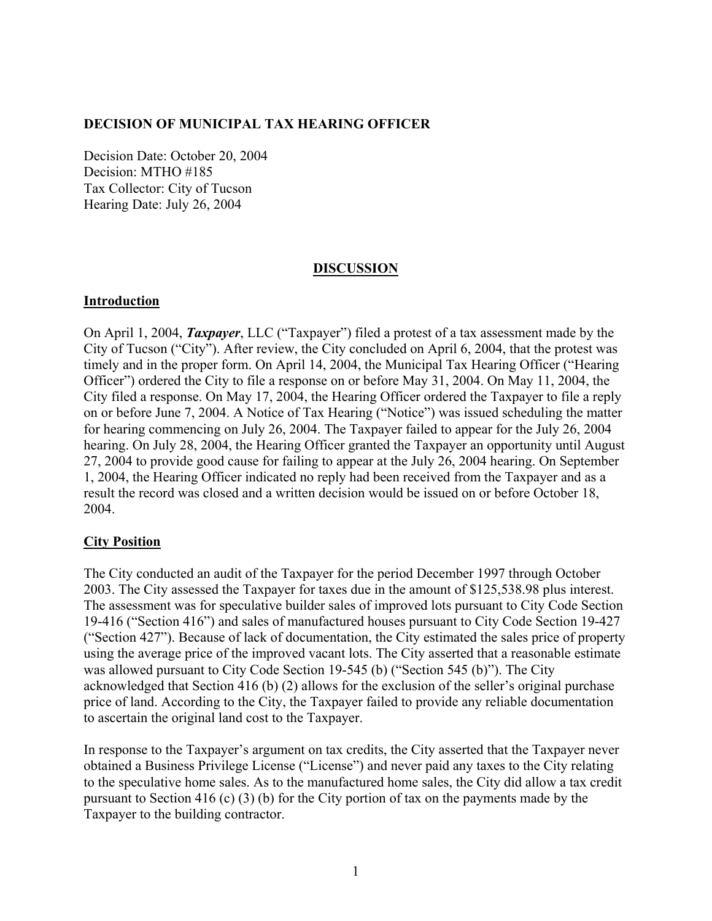#### **DECISION OF MUNICIPAL TAX HEARING OFFICER**

Decision Date: October 20, 2004 Decision: MTHO #185 Tax Collector: City of Tucson Hearing Date: July 26, 2004

#### **DISCUSSION**

#### **Introduction**

On April 1, 2004, *Taxpayer*, LLC ("Taxpayer") filed a protest of a tax assessment made by the City of Tucson ("City"). After review, the City concluded on April 6, 2004, that the protest was timely and in the proper form. On April 14, 2004, the Municipal Tax Hearing Officer ("Hearing Officer") ordered the City to file a response on or before May 31, 2004. On May 11, 2004, the City filed a response. On May 17, 2004, the Hearing Officer ordered the Taxpayer to file a reply on or before June 7, 2004. A Notice of Tax Hearing ("Notice") was issued scheduling the matter for hearing commencing on July 26, 2004. The Taxpayer failed to appear for the July 26, 2004 hearing. On July 28, 2004, the Hearing Officer granted the Taxpayer an opportunity until August 27, 2004 to provide good cause for failing to appear at the July 26, 2004 hearing. On September 1, 2004, the Hearing Officer indicated no reply had been received from the Taxpayer and as a result the record was closed and a written decision would be issued on or before October 18, 2004.

# **City Position**

The City conducted an audit of the Taxpayer for the period December 1997 through October 2003. The City assessed the Taxpayer for taxes due in the amount of \$125,538.98 plus interest. The assessment was for speculative builder sales of improved lots pursuant to City Code Section 19-416 ("Section 416") and sales of manufactured houses pursuant to City Code Section 19-427 ("Section 427"). Because of lack of documentation, the City estimated the sales price of property using the average price of the improved vacant lots. The City asserted that a reasonable estimate was allowed pursuant to City Code Section 19-545 (b) ("Section 545 (b)"). The City acknowledged that Section 416 (b) (2) allows for the exclusion of the seller's original purchase price of land. According to the City, the Taxpayer failed to provide any reliable documentation to ascertain the original land cost to the Taxpayer.

In response to the Taxpayer's argument on tax credits, the City asserted that the Taxpayer never obtained a Business Privilege License ("License") and never paid any taxes to the City relating to the speculative home sales. As to the manufactured home sales, the City did allow a tax credit pursuant to Section 416 (c) (3) (b) for the City portion of tax on the payments made by the Taxpayer to the building contractor.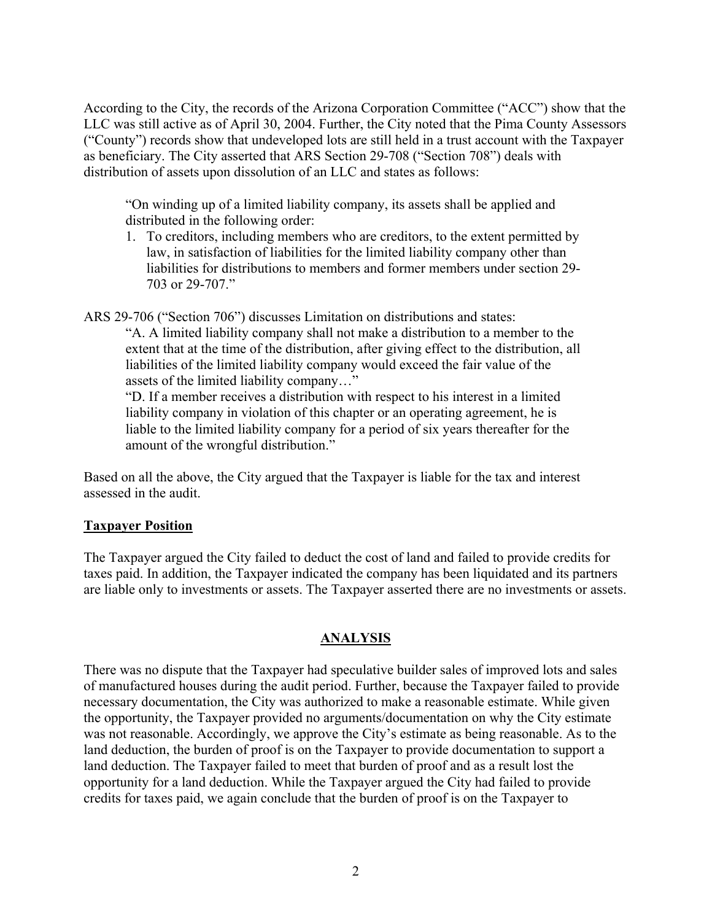According to the City, the records of the Arizona Corporation Committee ("ACC") show that the LLC was still active as of April 30, 2004. Further, the City noted that the Pima County Assessors ("County") records show that undeveloped lots are still held in a trust account with the Taxpayer as beneficiary. The City asserted that ARS Section 29-708 ("Section 708") deals with distribution of assets upon dissolution of an LLC and states as follows:

"On winding up of a limited liability company, its assets shall be applied and distributed in the following order:

1. To creditors, including members who are creditors, to the extent permitted by law, in satisfaction of liabilities for the limited liability company other than liabilities for distributions to members and former members under section 29- 703 or 29-707."

ARS 29-706 ("Section 706") discusses Limitation on distributions and states:

"A. A limited liability company shall not make a distribution to a member to the extent that at the time of the distribution, after giving effect to the distribution, all liabilities of the limited liability company would exceed the fair value of the assets of the limited liability company…"

"D. If a member receives a distribution with respect to his interest in a limited liability company in violation of this chapter or an operating agreement, he is liable to the limited liability company for a period of six years thereafter for the amount of the wrongful distribution."

Based on all the above, the City argued that the Taxpayer is liable for the tax and interest assessed in the audit.

# **Taxpayer Position**

The Taxpayer argued the City failed to deduct the cost of land and failed to provide credits for taxes paid. In addition, the Taxpayer indicated the company has been liquidated and its partners are liable only to investments or assets. The Taxpayer asserted there are no investments or assets.

# **ANALYSIS**

There was no dispute that the Taxpayer had speculative builder sales of improved lots and sales of manufactured houses during the audit period. Further, because the Taxpayer failed to provide necessary documentation, the City was authorized to make a reasonable estimate. While given the opportunity, the Taxpayer provided no arguments/documentation on why the City estimate was not reasonable. Accordingly, we approve the City's estimate as being reasonable. As to the land deduction, the burden of proof is on the Taxpayer to provide documentation to support a land deduction. The Taxpayer failed to meet that burden of proof and as a result lost the opportunity for a land deduction. While the Taxpayer argued the City had failed to provide credits for taxes paid, we again conclude that the burden of proof is on the Taxpayer to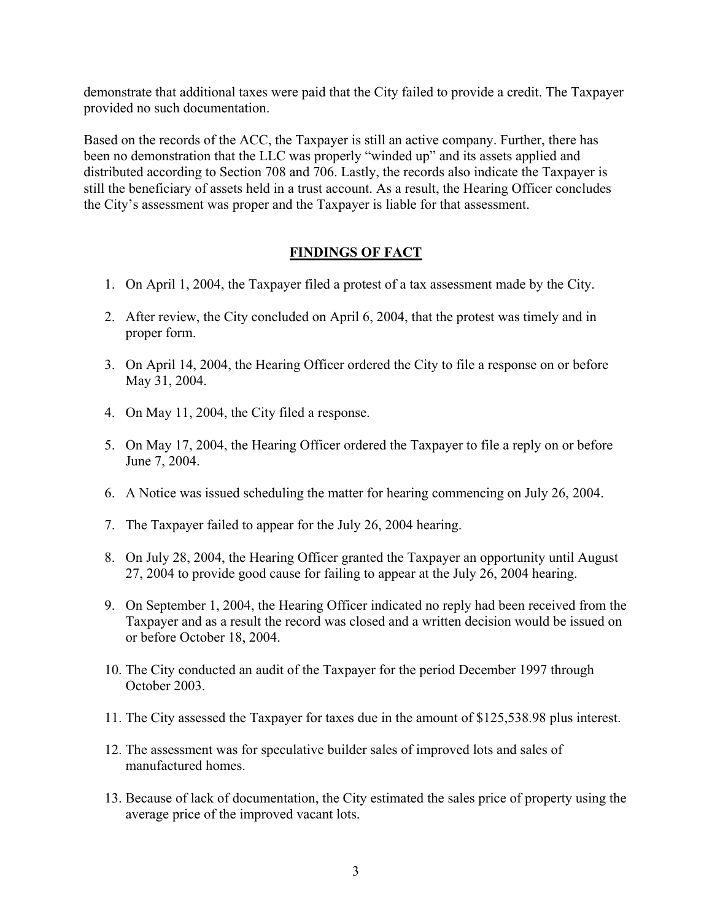demonstrate that additional taxes were paid that the City failed to provide a credit. The Taxpayer provided no such documentation.

Based on the records of the ACC, the Taxpayer is still an active company. Further, there has been no demonstration that the LLC was properly "winded up" and its assets applied and distributed according to Section 708 and 706. Lastly, the records also indicate the Taxpayer is still the beneficiary of assets held in a trust account. As a result, the Hearing Officer concludes the City's assessment was proper and the Taxpayer is liable for that assessment.

# **FINDINGS OF FACT**

- 1. On April 1, 2004, the Taxpayer filed a protest of a tax assessment made by the City.
- 2. After review, the City concluded on April 6, 2004, that the protest was timely and in proper form.
- 3. On April 14, 2004, the Hearing Officer ordered the City to file a response on or before May 31, 2004.
- 4. On May 11, 2004, the City filed a response.
- 5. On May 17, 2004, the Hearing Officer ordered the Taxpayer to file a reply on or before June 7, 2004.
- 6. A Notice was issued scheduling the matter for hearing commencing on July 26, 2004.
- 7. The Taxpayer failed to appear for the July 26, 2004 hearing.
- 8. On July 28, 2004, the Hearing Officer granted the Taxpayer an opportunity until August 27, 2004 to provide good cause for failing to appear at the July 26, 2004 hearing.
- 9. On September 1, 2004, the Hearing Officer indicated no reply had been received from the Taxpayer and as a result the record was closed and a written decision would be issued on or before October 18, 2004.
- 10. The City conducted an audit of the Taxpayer for the period December 1997 through October 2003.
- 11. The City assessed the Taxpayer for taxes due in the amount of \$125,538.98 plus interest.
- 12. The assessment was for speculative builder sales of improved lots and sales of manufactured homes.
- 13. Because of lack of documentation, the City estimated the sales price of property using the average price of the improved vacant lots.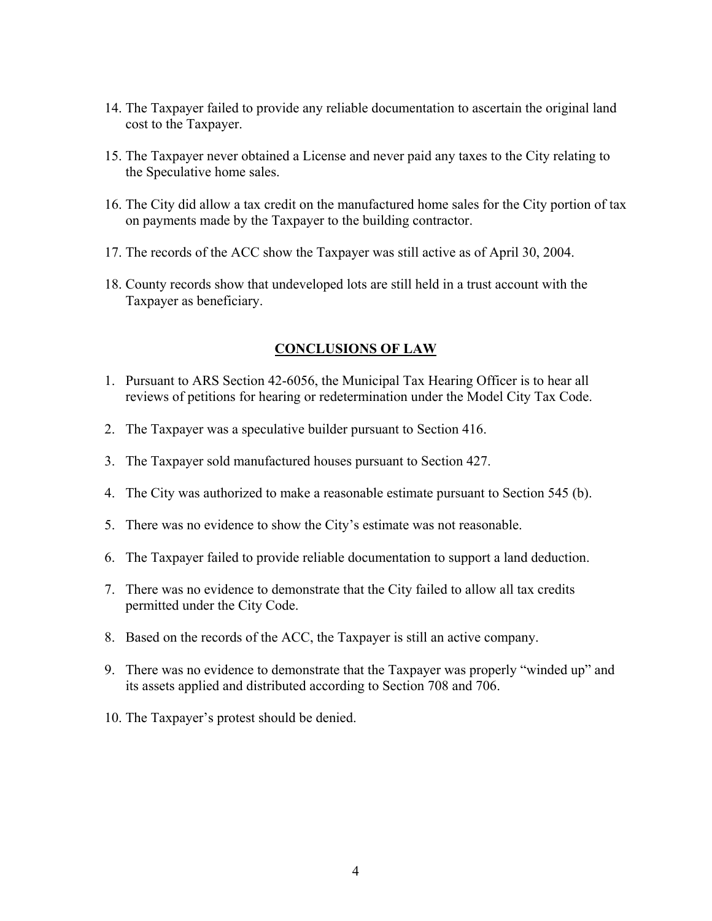- 14. The Taxpayer failed to provide any reliable documentation to ascertain the original land cost to the Taxpayer.
- 15. The Taxpayer never obtained a License and never paid any taxes to the City relating to the Speculative home sales.
- 16. The City did allow a tax credit on the manufactured home sales for the City portion of tax on payments made by the Taxpayer to the building contractor.
- 17. The records of the ACC show the Taxpayer was still active as of April 30, 2004.
- 18. County records show that undeveloped lots are still held in a trust account with the Taxpayer as beneficiary.

#### **CONCLUSIONS OF LAW**

- 1. Pursuant to ARS Section 42-6056, the Municipal Tax Hearing Officer is to hear all reviews of petitions for hearing or redetermination under the Model City Tax Code.
- 2. The Taxpayer was a speculative builder pursuant to Section 416.
- 3. The Taxpayer sold manufactured houses pursuant to Section 427.
- 4. The City was authorized to make a reasonable estimate pursuant to Section 545 (b).
- 5. There was no evidence to show the City's estimate was not reasonable.
- 6. The Taxpayer failed to provide reliable documentation to support a land deduction.
- 7. There was no evidence to demonstrate that the City failed to allow all tax credits permitted under the City Code.
- 8. Based on the records of the ACC, the Taxpayer is still an active company.
- 9. There was no evidence to demonstrate that the Taxpayer was properly "winded up" and its assets applied and distributed according to Section 708 and 706.
- 10. The Taxpayer's protest should be denied.